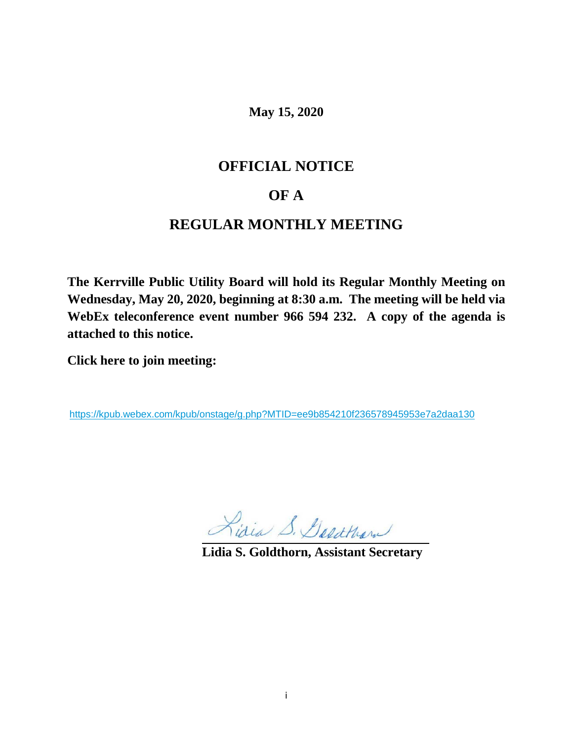**May 15, 2020**

# **OFFICIAL NOTICE**

# **OF A**

# **REGULAR MONTHLY MEETING**

**The Kerrville Public Utility Board will hold its Regular Monthly Meeting on Wednesday, May 20, 2020, beginning at 8:30 a.m. The meeting will be held via WebEx teleconference event number 966 594 232. A copy of the agenda is attached to this notice.**

**Click here to join meeting:**

<https://kpub.webex.com/kpub/onstage/g.php?MTID=ee9b854210f236578945953e7a2daa130>

Lidia S. Gesthan

**Lidia S. Goldthorn, Assistant Secretary**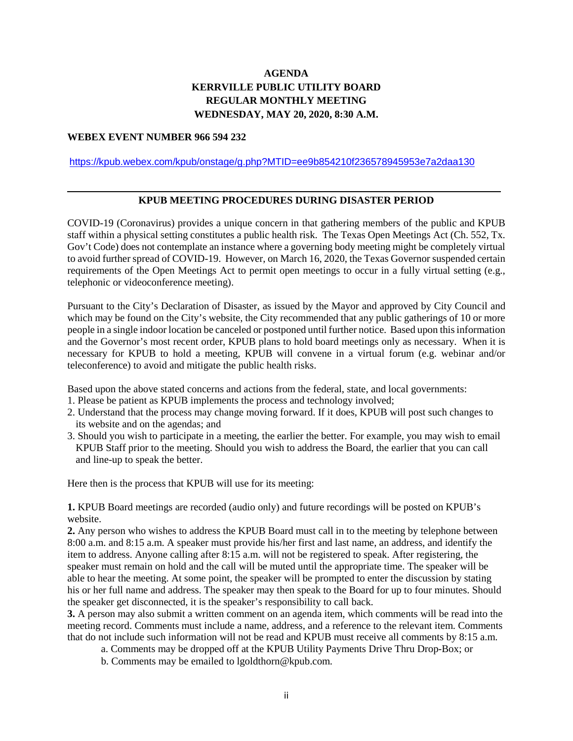# **AGENDA KERRVILLE PUBLIC UTILITY BOARD REGULAR MONTHLY MEETING WEDNESDAY, MAY 20, 2020, 8:30 A.M.**

#### **WEBEX EVENT NUMBER 966 594 232**

### <https://kpub.webex.com/kpub/onstage/g.php?MTID=ee9b854210f236578945953e7a2daa130>

## **KPUB MEETING PROCEDURES DURING DISASTER PERIOD**

COVID-19 (Coronavirus) provides a unique concern in that gathering members of the public and KPUB staff within a physical setting constitutes a public health risk. The Texas Open Meetings Act (Ch. 552, Tx. Gov't Code) does not contemplate an instance where a governing body meeting might be completely virtual to avoid further spread of COVID-19. However, on March 16, 2020, the Texas Governor suspended certain requirements of the Open Meetings Act to permit open meetings to occur in a fully virtual setting (e.g., telephonic or videoconference meeting).

Pursuant to the City's Declaration of Disaster, as issued by the Mayor and approved by City Council and which may be found on the City's website, the City recommended that any public gatherings of 10 or more people in a single indoor location be canceled or postponed until further notice. Based upon this information and the Governor's most recent order, KPUB plans to hold board meetings only as necessary. When it is necessary for KPUB to hold a meeting, KPUB will convene in a virtual forum (e.g. webinar and/or teleconference) to avoid and mitigate the public health risks.

Based upon the above stated concerns and actions from the federal, state, and local governments:

- 1. Please be patient as KPUB implements the process and technology involved;
- 2. Understand that the process may change moving forward. If it does, KPUB will post such changes to its website and on the agendas; and
- 3. Should you wish to participate in a meeting, the earlier the better. For example, you may wish to email KPUB Staff prior to the meeting. Should you wish to address the Board, the earlier that you can call and line-up to speak the better.

Here then is the process that KPUB will use for its meeting:

**1.** KPUB Board meetings are recorded (audio only) and future recordings will be posted on KPUB's website.

**2.** Any person who wishes to address the KPUB Board must call in to the meeting by telephone between 8:00 a.m. and 8:15 a.m. A speaker must provide his/her first and last name, an address, and identify the item to address. Anyone calling after 8:15 a.m. will not be registered to speak. After registering, the speaker must remain on hold and the call will be muted until the appropriate time. The speaker will be able to hear the meeting. At some point, the speaker will be prompted to enter the discussion by stating his or her full name and address. The speaker may then speak to the Board for up to four minutes. Should the speaker get disconnected, it is the speaker's responsibility to call back.

**3.** A person may also submit a written comment on an agenda item, which comments will be read into the meeting record. Comments must include a name, address, and a reference to the relevant item. Comments that do not include such information will not be read and KPUB must receive all comments by 8:15 a.m.

- a. Comments may be dropped off at the KPUB Utility Payments Drive Thru Drop-Box; or
- b. Comments may be emailed to lgoldthorn@kpub.com.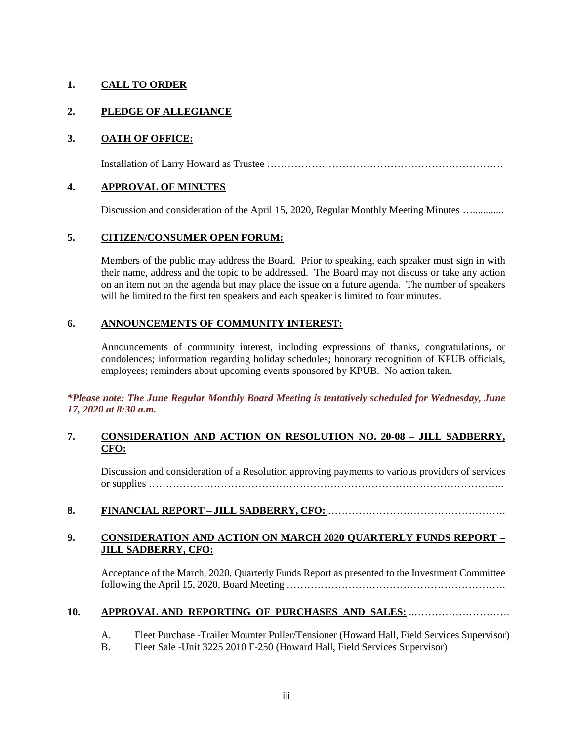# **1. CALL TO ORDER**

# **2. PLEDGE OF ALLEGIANCE**

# **3. OATH OF OFFICE:**

Installation of Larry Howard as Trustee ……………………………………………………………

## **4. APPROVAL OF MINUTES**

Discussion and consideration of the April 15, 2020, Regular Monthly Meeting Minutes ...............

## **5. CITIZEN/CONSUMER OPEN FORUM:**

Members of the public may address the Board. Prior to speaking, each speaker must sign in with their name, address and the topic to be addressed. The Board may not discuss or take any action on an item not on the agenda but may place the issue on a future agenda. The number of speakers will be limited to the first ten speakers and each speaker is limited to four minutes.

## **6. ANNOUNCEMENTS OF COMMUNITY INTEREST:**

Announcements of community interest, including expressions of thanks, congratulations, or condolences; information regarding holiday schedules; honorary recognition of KPUB officials, employees; reminders about upcoming events sponsored by KPUB. No action taken.

*\*Please note: The June Regular Monthly Board Meeting is tentatively scheduled for Wednesday, June 17, 2020 at 8:30 a.m.*

## **7. CONSIDERATION AND ACTION ON RESOLUTION NO. 20-08 – JILL SADBERRY, CFO:**

Discussion and consideration of a Resolution approving payments to various providers of services or supplies …………………………………………………………………………………………..

## **8. FINANCIAL REPORT – JILL SADBERRY, CFO:** …………………………………………….

## **9. CONSIDERATION AND ACTION ON MARCH 2020 QUARTERLY FUNDS REPORT – JILL SADBERRY, CFO:**

Acceptance of the March, 2020, Quarterly Funds Report as presented to the Investment Committee following the April 15, 2020, Board Meeting ……………………………………………………….

### **10. APPROVAL AND REPORTING OF PURCHASES AND SALES:** ..……………………….

- A. Fleet Purchase -Trailer Mounter Puller/Tensioner (Howard Hall, Field Services Supervisor)
- B. Fleet Sale -Unit 3225 2010 F-250 (Howard Hall, Field Services Supervisor)